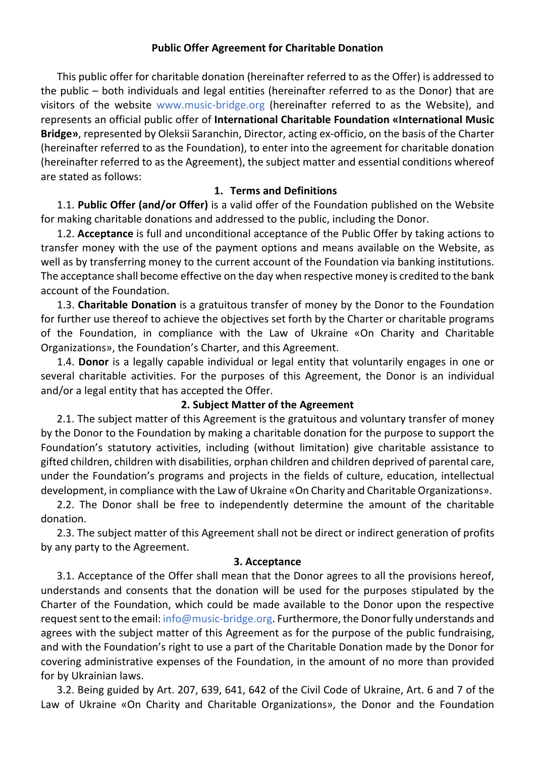### **Public Offer Agreement for Charitable Donation**

This public offer for charitable donation (hereinafter referred to as the Offer) is addressed to the public  $-$  both individuals and legal entities (hereinafter referred to as the Donor) that are visitors of the website www.music-bridge.org (hereinafter referred to as the Website), and represents an official public offer of International Charitable Foundation «International Music **Bridge»**, represented by Oleksii Saranchin, Director, acting ex-officio, on the basis of the Charter (hereinafter referred to as the Foundation), to enter into the agreement for charitable donation (hereinafter referred to as the Agreement), the subject matter and essential conditions whereof are stated as follows:

### **1. Terms and Definitions**

1.1. Public Offer (and/or Offer) is a valid offer of the Foundation published on the Website for making charitable donations and addressed to the public, including the Donor.

1.2. **Acceptance** is full and unconditional acceptance of the Public Offer by taking actions to transfer money with the use of the payment options and means available on the Website, as well as by transferring money to the current account of the Foundation via banking institutions. The acceptance shall become effective on the day when respective money is credited to the bank account of the Foundation.

1.3. **Charitable Donation** is a gratuitous transfer of money by the Donor to the Foundation for further use thereof to achieve the objectives set forth by the Charter or charitable programs of the Foundation, in compliance with the Law of Ukraine «On Charity and Charitable Organizations», the Foundation's Charter, and this Agreement.

1.4. Donor is a legally capable individual or legal entity that voluntarily engages in one or several charitable activities. For the purposes of this Agreement, the Donor is an individual and/or a legal entity that has accepted the Offer.

### **2. Subject Matter of the Agreement**

2.1. The subject matter of this Agreement is the gratuitous and voluntary transfer of money by the Donor to the Foundation by making a charitable donation for the purpose to support the Foundation's statutory activities, including (without limitation) give charitable assistance to gifted children, children with disabilities, orphan children and children deprived of parental care, under the Foundation's programs and projects in the fields of culture, education, intellectual development, in compliance with the Law of Ukraine «On Charity and Charitable Organizations».

2.2. The Donor shall be free to independently determine the amount of the charitable donation.

2.3. The subject matter of this Agreement shall not be direct or indirect generation of profits by any party to the Agreement.

### **3. Acceptance**

3.1. Acceptance of the Offer shall mean that the Donor agrees to all the provisions hereof, understands and consents that the donation will be used for the purposes stipulated by the Charter of the Foundation, which could be made available to the Donor upon the respective request sent to the email: info@music-bridge.org. Furthermore, the Donor fully understands and agrees with the subject matter of this Agreement as for the purpose of the public fundraising, and with the Foundation's right to use a part of the Charitable Donation made by the Donor for covering administrative expenses of the Foundation, in the amount of no more than provided for by Ukrainian laws.

3.2. Being guided by Art. 207, 639, 641, 642 of the Civil Code of Ukraine, Art. 6 and 7 of the Law of Ukraine «On Charity and Charitable Organizations», the Donor and the Foundation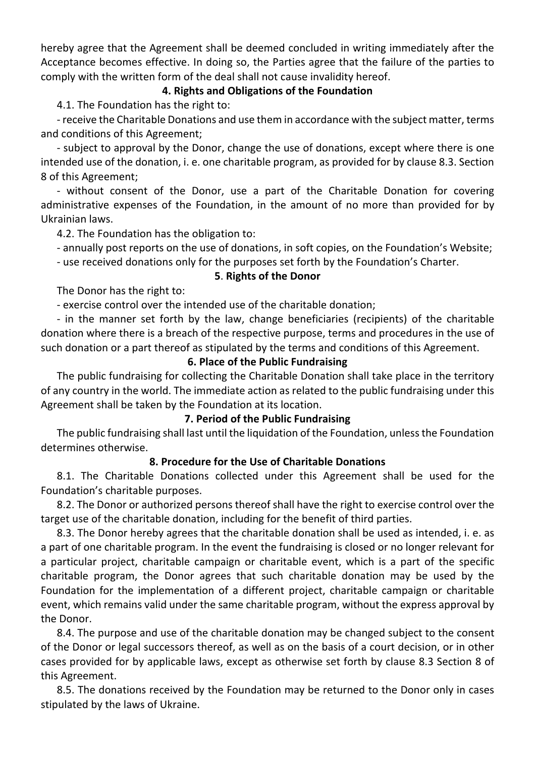hereby agree that the Agreement shall be deemed concluded in writing immediately after the Acceptance becomes effective. In doing so, the Parties agree that the failure of the parties to comply with the written form of the deal shall not cause invalidity hereof.

## **4. Rights and Obligations of the Foundation**

4.1. The Foundation has the right to:

- receive the Charitable Donations and use them in accordance with the subject matter, terms and conditions of this Agreement;

- subject to approval by the Donor, change the use of donations, except where there is one intended use of the donation, i. e. one charitable program, as provided for by clause 8.3. Section 8 of this Agreement:

- without consent of the Donor, use a part of the Charitable Donation for covering administrative expenses of the Foundation, in the amount of no more than provided for by Ukrainian laws.

4.2. The Foundation has the obligation to:

- annually post reports on the use of donations, in soft copies, on the Foundation's Website;

- use received donations only for the purposes set forth by the Foundation's Charter.

### **5**. **Rights of the Donor**

The Donor has the right to:

- exercise control over the intended use of the charitable donation;

- in the manner set forth by the law, change beneficiaries (recipients) of the charitable donation where there is a breach of the respective purpose, terms and procedures in the use of such donation or a part thereof as stipulated by the terms and conditions of this Agreement.

### **6. Place of the Public Fundraising**

The public fundraising for collecting the Charitable Donation shall take place in the territory of any country in the world. The immediate action as related to the public fundraising under this Agreement shall be taken by the Foundation at its location.

## **7. Period of the Public Fundraising**

The public fundraising shall last until the liquidation of the Foundation, unless the Foundation determines otherwise.

### **8. Procedure for the Use of Charitable Donations**

8.1. The Charitable Donations collected under this Agreement shall be used for the Foundation's charitable purposes.

8.2. The Donor or authorized persons thereof shall have the right to exercise control over the target use of the charitable donation, including for the benefit of third parties.

8.3. The Donor hereby agrees that the charitable donation shall be used as intended, i. e. as a part of one charitable program. In the event the fundraising is closed or no longer relevant for a particular project, charitable campaign or charitable event, which is a part of the specific charitable program, the Donor agrees that such charitable donation may be used by the Foundation for the implementation of a different project, charitable campaign or charitable event, which remains valid under the same charitable program, without the express approval by the Donor.

8.4. The purpose and use of the charitable donation may be changed subject to the consent of the Donor or legal successors thereof, as well as on the basis of a court decision, or in other cases provided for by applicable laws, except as otherwise set forth by clause 8.3 Section 8 of this Agreement.

8.5. The donations received by the Foundation may be returned to the Donor only in cases stipulated by the laws of Ukraine.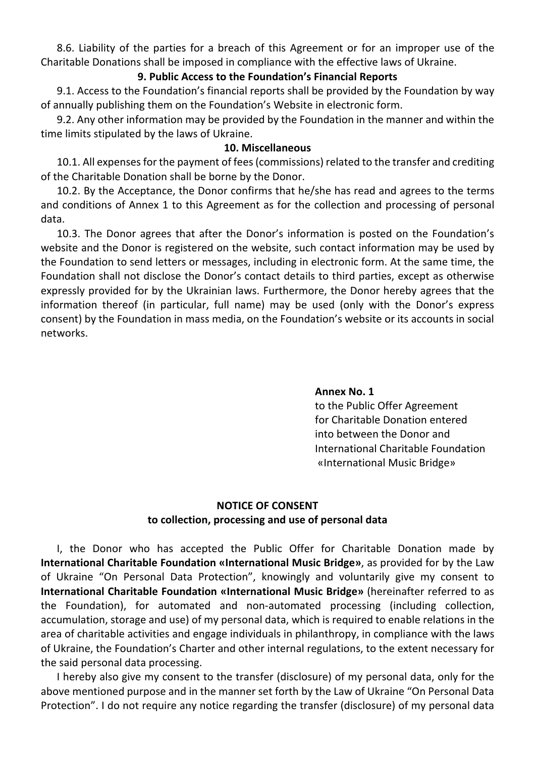8.6. Liability of the parties for a breach of this Agreement or for an improper use of the Charitable Donations shall be imposed in compliance with the effective laws of Ukraine.

### **9. Public Access to the Foundation's Financial Reports**

9.1. Access to the Foundation's financial reports shall be provided by the Foundation by way of annually publishing them on the Foundation's Website in electronic form.

9.2. Any other information may be provided by the Foundation in the manner and within the time limits stipulated by the laws of Ukraine.

### **10. Miscellaneous**

10.1. All expenses for the payment of fees (commissions) related to the transfer and crediting of the Charitable Donation shall be borne by the Donor.

10.2. By the Acceptance, the Donor confirms that he/she has read and agrees to the terms and conditions of Annex 1 to this Agreement as for the collection and processing of personal data.

10.3. The Donor agrees that after the Donor's information is posted on the Foundation's website and the Donor is registered on the website, such contact information may be used by the Foundation to send letters or messages, including in electronic form. At the same time, the Foundation shall not disclose the Donor's contact details to third parties, except as otherwise expressly provided for by the Ukrainian laws. Furthermore, the Donor hereby agrees that the information thereof (in particular, full name) may be used (only with the Donor's express consent) by the Foundation in mass media, on the Foundation's website or its accounts in social networks.

## **Annex No. 1**

to the Public Offer Agreement for Charitable Donation entered into between the Donor and International Charitable Foundation «International Music Bridge»

# **NOTICE OF CONSENT** to collection, processing and use of personal data

I, the Donor who has accepted the Public Offer for Charitable Donation made by **International Charitable Foundation «International Music Bridge»,** as provided for by the Law of Ukraine "On Personal Data Protection", knowingly and voluntarily give my consent to **International Charitable Foundation «International Music Bridge»** (hereinafter referred to as the Foundation), for automated and non-automated processing (including collection, accumulation, storage and use) of my personal data, which is required to enable relations in the area of charitable activities and engage individuals in philanthropy, in compliance with the laws of Ukraine, the Foundation's Charter and other internal regulations, to the extent necessary for the said personal data processing.

I hereby also give my consent to the transfer (disclosure) of my personal data, only for the above mentioned purpose and in the manner set forth by the Law of Ukraine "On Personal Data Protection". I do not require any notice regarding the transfer (disclosure) of my personal data